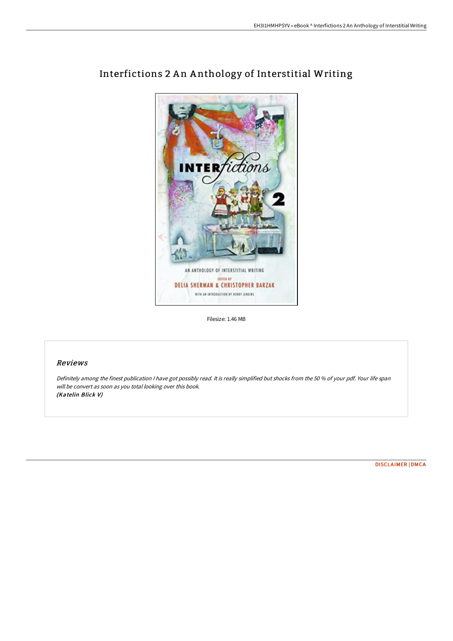

# Interfictions 2 An Anthology of Interstitial Writing

Filesize: 1.46 MB

## Reviews

Definitely among the finest publication <sup>I</sup> have got possibly read. It is really simplified but shocks from the <sup>50</sup> % of your pdf. Your life span will be convert as soon as you total looking over this book. (Katelin Blick V)

[DISCLAIMER](http://albedo.media/disclaimer.html) | [DMCA](http://albedo.media/dmca.html)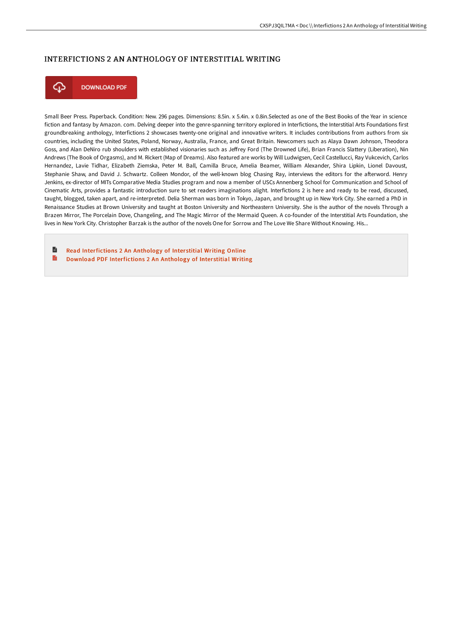### INTERFICTIONS 2 AN ANTHOLOGY OF INTERSTITIAL WRITING



**DOWNLOAD PDF** 

Small Beer Press. Paperback. Condition: New. 296 pages. Dimensions: 8.5in. x 5.4in. x 0.8in.Selected as one of the Best Books of the Year in science fiction and fantasy by Amazon. com. Delving deeper into the genre-spanning territory explored in Interfictions, the Interstitial Arts Foundations first groundbreaking anthology, Interfictions 2 showcases twenty-one original and innovative writers. It includes contributions from authors from six countries, including the United States, Poland, Norway, Australia, France, and Great Britain. Newcomers such as Alaya Dawn Johnson, Theodora Goss, and Alan DeNiro rub shoulders with established visionaries such as Jeffrey Ford (The Drowned Life), Brian Francis Slattery (Liberation), Nin Andrews (The Book of Orgasms), and M. Rickert (Map of Dreams). Also featured are works by Will Ludwigsen, Cecil Castellucci, Ray Vukcevich, Carlos Hernandez, Lavie Tidhar, Elizabeth Ziemska, Peter M. Ball, Camilla Bruce, Amelia Beamer, William Alexander, Shira Lipkin, Lionel Davoust, Stephanie Shaw, and David J. Schwartz. Colleen Mondor, of the well-known blog Chasing Ray, interviews the editors for the afterword. Henry Jenkins, ex-director of MITs Comparative Media Studies program and now a member of USCs Annenberg School for Communication and School of Cinematic Arts, provides a fantastic introduction sure to set readers imaginations alight. Interfictions 2 is here and ready to be read, discussed, taught, blogged, taken apart, and re-interpreted. Delia Sherman was born in Tokyo, Japan, and brought up in New York City. She earned a PhD in Renaissance Studies at Brown University and taught at Boston University and Northeastern University. She is the author of the novels Through a Brazen Mirror, The Porcelain Dove, Changeling, and The Magic Mirror of the Mermaid Queen. A co-founder of the Interstitial Arts Foundation, she lives in New York City. Christopher Barzak is the author of the novels One for Sorrow and The Love We Share Without Knowing. His...

B Read [Interfictions](http://albedo.media/interfictions-2-an-anthology-of-interstitial-wri.html) 2 An Anthology of Interstitial Writing Online E Download PDF [Interfictions](http://albedo.media/interfictions-2-an-anthology-of-interstitial-wri.html) 2 An Anthology of Interstitial Writing